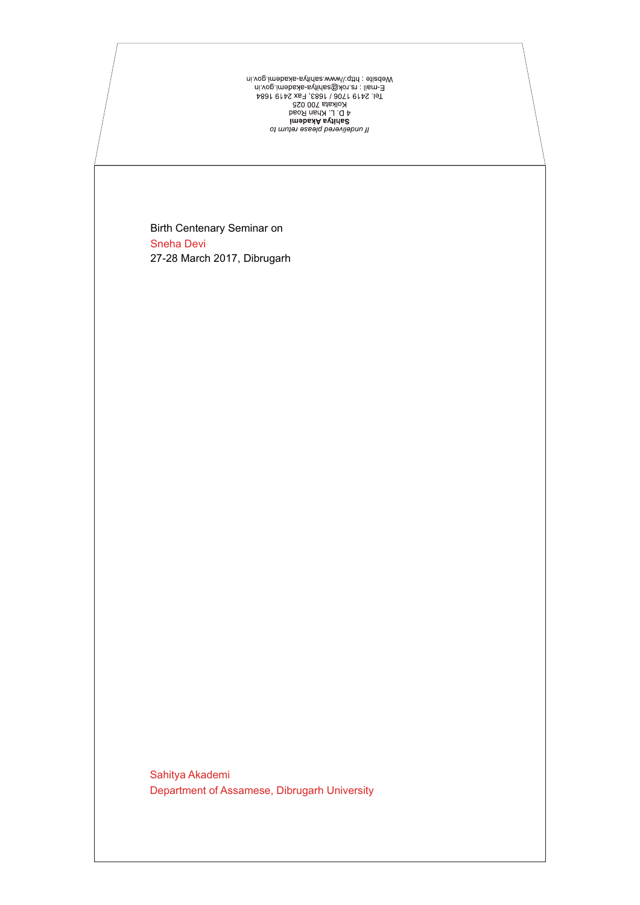on muhan əssəlq bərəviləbnu 1l məhsəlq bərəviləri<br>məli : rə. 1963, Fax 2419 1684<br>1971 - 19719 1706 / 1683, Fax 2419 1684<br>1972 - 19719 1706 / 1683, Fax 2419<br>1989 - http://www.sahiba-asigov.in<br>mixog.iməbakə-ayilna.

Birth Centenary Seminar on 27-28 March 2017, Dibrugarh Sneha Devi

Sahitya Akademi Department of Assamese, Dibrugarh University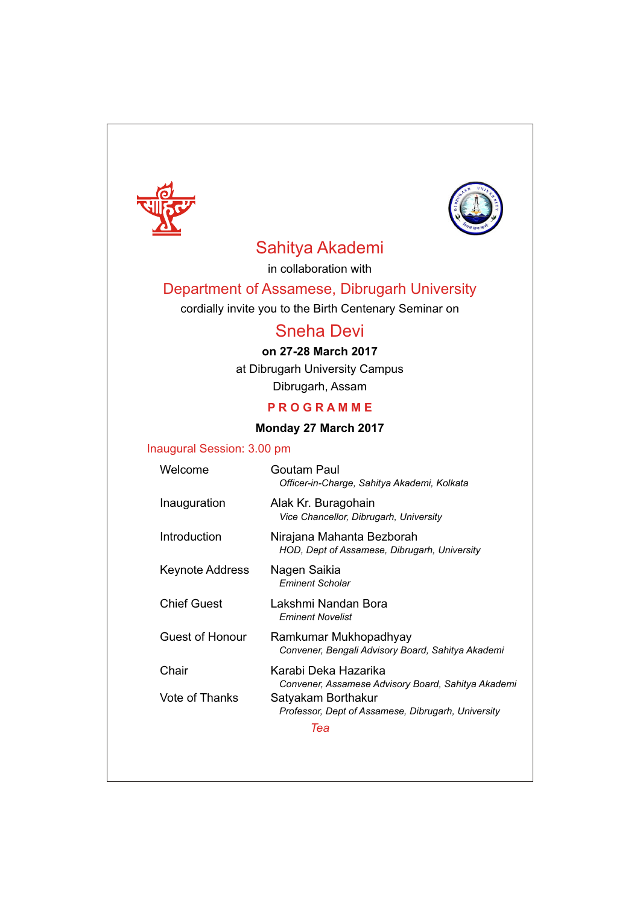



# Sahitya Akademi

in collaboration with

## Department of Assamese, Dibrugarh University

cordially invite you to the Birth Centenary Seminar on

## Sneha Devi

#### **on 27-28 March 2017**

at Dibrugarh University Campus

Dibrugarh, Assam

## **P R O G R A M M E**

### **Monday 27 March 2017**

#### Inaugural Session: 3.00 pm

| Welcome                | Goutam Paul<br>Officer-in-Charge, Sahitya Akademi, Kolkata                      |
|------------------------|---------------------------------------------------------------------------------|
| Inauguration           | Alak Kr. Buragohain<br>Vice Chancellor, Dibrugarh, University                   |
| Introduction           | Nirajana Mahanta Bezborah<br>HOD, Dept of Assamese, Dibrugarh, University       |
| <b>Keynote Address</b> | Nagen Saikia<br><b>Eminent Scholar</b>                                          |
| <b>Chief Guest</b>     | Lakshmi Nandan Bora<br><b><i>Eminent Novelist</i></b>                           |
| <b>Guest of Honour</b> | Ramkumar Mukhopadhyay<br>Convener, Bengali Advisory Board, Sahitya Akademi      |
| Chair                  | Karabi Deka Hazarika<br>Convener, Assamese Advisory Board, Sahitya Akademi      |
| <b>Vote of Thanks</b>  | Satyakam Borthakur<br>Professor, Dept of Assamese, Dibrugarh, University<br>Tea |
|                        |                                                                                 |